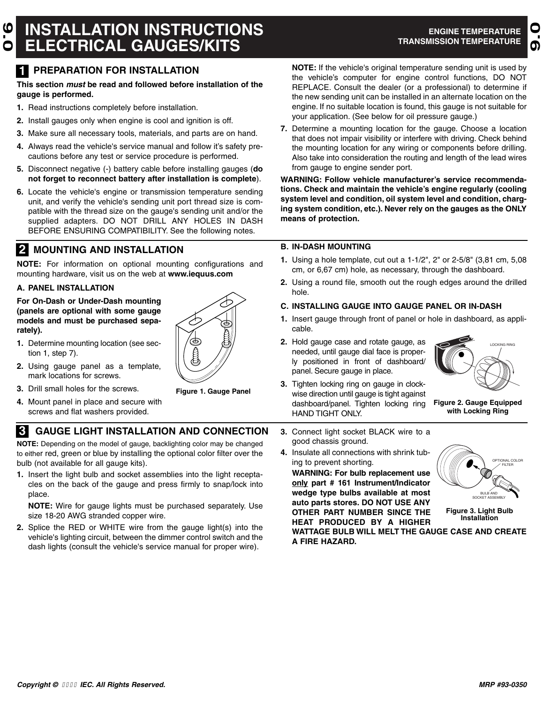## **INSTALLATION INSTRUCTIONS ELECTRICAL GAUGES/KITS 9.0**

**9.0**

## **1 PREPARATION FOR INSTALLATION**

## **This section must be read and followed before installation of the gauge is performed.**

- **1.** Read instructions completely before installation.
- **2.** Install gauges only when engine is cool and ignition is off.
- **3.** Make sure all necessary tools, materials, and parts are on hand.
- **4.** Always read the vehicle's service manual and follow it's safety precautions before any test or service procedure is performed.
- **5.** Disconnect negative (-) battery cable before installing gauges (**do not forget to reconnect battery after installation is complete**).
- **6.** Locate the vehicle's engine or transmission temperature sending unit, and verify the vehicle's sending unit port thread size is compatible with the thread size on the gauge's sending unit and/or the supplied adapters. DO NOT DRILL ANY HOLES IN DASH BEFORE ENSURING COMPATIBILITY. See the following notes.

# **2 MOUNTING AND INSTALLATION B. IN-DASH MOUNTING**

**NOTE:** For information on optional mounting configurations and mounting hardware, visit us on the web at **www.iequus.com**

## **A. PANEL INSTALLATION**

**For On-Dash or Under-Dash mounting (panels are optional with some gauge models and must be purchased separately).**

- **1.** Determine mounting location (see section 1, step 7).
- **2.** Using gauge panel as a template, mark locations for screws.



- **3.** Drill small holes for the screws.
- **4.** Mount panel in place and secure with screws and flat washers provided.

## **3 GAUGE LIGHT INSTALLATION AND CONNECTION 3.** Connect light socket BLACK wire to a

**NOTE:** Depending on the model of gauge, backlighting color may be changed to either red, green or blue by installing the optional color filter over the bulb (not available for all gauge kits).

**1.** Insert the light bulb and socket assemblies into the light receptacles on the back of the gauge and press firmly to snap/lock into place.

**NOTE:** Wire for gauge lights must be purchased separately. Use size 18-20 AWG stranded copper wire.

**2.** Splice the RED or WHITE wire from the gauge light(s) into the vehicle's lighting circuit, between the dimmer control switch and the dash lights (consult the vehicle's service manual for proper wire).

**NOTE:** If the vehicle's original temperature sending unit is used by the vehicle's computer for engine control functions, DO NOT REPLACE. Consult the dealer (or a professional) to determine if the new sending unit can be installed in an alternate location on the engine. If no suitable location is found, this gauge is not suitable for your application. (See below for oil pressure gauge.)

**7.** Determine a mounting location for the gauge. Choose a location that does not impair visibility or interfere with driving. Check behind the mounting location for any wiring or components before drilling. Also take into consideration the routing and length of the lead wires from gauge to engine sender port.

**WARNING: Follow vehicle manufacturer's service recommendations. Check and maintain the vehicle's engine regularly (cooling system level and condition, oil system level and condition, charging system condition, etc.). Never rely on the gauges as the ONLY means of protection.**

- **1.** Using a hole template, cut out a 1-1/2", 2" or 2-5/8" (3,81 cm, 5,08 cm, or 6,67 cm) hole, as necessary, through the dashboard.
- **2.** Using a round file, smooth out the rough edges around the drilled hole.

## **C. INSTALLING GAUGE INTO GAUGE PANEL OR IN-DASH**

- **1.** Insert gauge through front of panel or hole in dashboard, as applicable.
- **2.** Hold gauge case and rotate gauge, as needed, until gauge dial face is properly positioned in front of dashboard/ panel. Secure gauge in place.
- **3.** Tighten locking ring on gauge in clockwise direction until gauge is tight against dashboard/panel. Tighten locking ring HAND TIGHT ONLY.

LOCKING RING

- **Figure 2. Gauge Equipped with Locking Ring**
- good chassis ground.
- **4.** Insulate all connections with shrink tubing to prevent shorting.

**WARNING: For bulb replacement use only part # 161 Instrument/Indicator wedge type bulbs available at most auto parts stores. DO NOT USE ANY OTHER PART NUMBER SINCE THE HEAT PRODUCED BY A HIGHER**



**Figure 3. Light Bulb Installation**

**WATTAGE BULB WILL MELT THE GAUGE CASE AND CREATE A FIRE HAZARD.**

**Figure 1. Gauge Panel**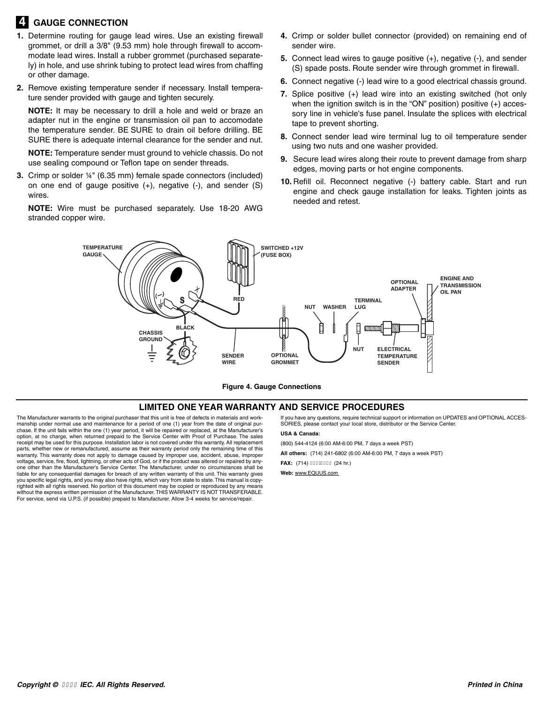## **4 GAUGE CONNECTION**

- **1.** Determine routing for gauge lead wires. Use an existing firewall grommet, or drill a 3/8" (9.53 mm) hole through firewall to accommodate lead wires. Install a rubber grommet (purchased separately) in hole, and use shrink tubing to protect lead wires from chaffing or other damage.
- **2.** Remove existing temperature sender if necessary. Install temperature sender provided with gauge and tighten securely.

**NOTE:** It may be necessary to drill a hole and weld or braze an adapter nut in the engine or transmission oil pan to accomodate the temperature sender. BE SURE to drain oil before drilling. BE SURE there is adequate internal clearance for the sender and nut.

**NOTE:** Temperature sender must ground to vehicle chassis. Do not use sealing compound or Teflon tape on sender threads.

**3.** Crimp or solder ¼" (6.35 mm) female spade connectors (included) on one end of gauge positive (+), negative (-), and sender (S) wires.

**NOTE:** Wire must be purchased separately. Use 18-20 AWG stranded copper wire.

- **4.** Crimp or solder bullet connector (provided) on remaining end of sender wire.
- **5.** Connect lead wires to gauge positive (+), negative (-), and sender (S) spade posts. Route sender wire through grommet in firewall.
- **6.** Connect negative (-) lead wire to a good electrical chassis ground.
- **7.** Splice positive (+) lead wire into an existing switched (hot only when the ignition switch is in the "ON" position) positive (+) accessory line in vehicle's fuse panel. Insulate the splices with electrical tape to prevent shorting.
- **8.** Connect sender lead wire terminal lug to oil temperature sender using two nuts and one washer provided.
- **9.** Secure lead wires along their route to prevent damage from sharp edges, moving parts or hot engine components.
- **10.** Refill oil. Reconnect negative (-) battery cable. Start and run engine and check gauge installation for leaks. Tighten joints as needed and retest.



**Figure 4. Gauge Connections**

#### **LIMITED ONE YEAR WARRANTY AND SERVICE PROCEDURES**

The Manufacturer warrants to the original purchaser that this unit is free of defects in materials and work-manship under normal use and maintenance for a period of one (1) year from the date of original purchase. If the unit fails within the one (1) year period, it will be repaired or replaced, at the Manufacturer's option, at no charge, when returned prepaid to the Service Center with Proof of Purchase. The sales receipt may be used for this purpose. Installation labor is not covered under this warranty. All replacement parts, whether new or remanufactured, assume as their warranty period only the remaining time of this warranty. This warranty does not apply to damage caused by improper use, accident, abuse, improper voltage, service, fire, flood, lightning, or other acts of God, or if the product was altered or repaired by anyone other than the Manufacturer's Service Center. The Manufacturer, under no circumstances shall be liable for any consequential damages for breach of any written warranty of this unit. This warranty gives you specific legal rights, and you may also have rights, which vary from state to state.This manual is copyrighted with all rights reserved. No portion of this document may be copied or reproduced by any means without the express written permission of the Manufacturer. THIS WARRANTY IS NOT TRANSFERABLE. For service, send via U.P.S. (if possible) prepaid to Manufacturer. Allow 3-4 weeks for service/repair.

If you have any questions, require technical support or information on UPDATES and OPTIONAL ACCES-SORIES, please contact your local store, distributor or the Service Center.

**USA & Canada:**

(800) 544-4124 (6:00 AM-6:00 PM, 7 days a week PST)

**All others:** (714) 241-6802 (6:00 AM-6:00 PM, 7 days a week PST)

**FAX:** (714) I HG HU J (24 hr.)

**Web:** www.EQUUS.com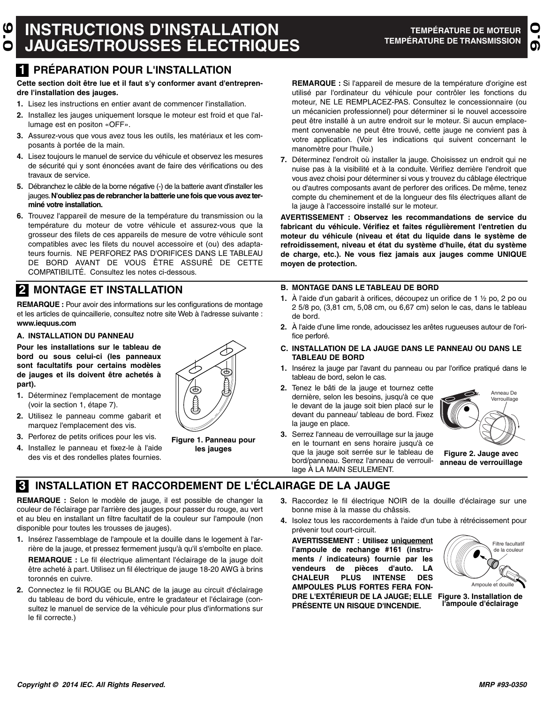## **INSTRUCTIONS D'INSTALLATION JAUGES/TROUSSES ÉLECTRIQUES 9.0**

**9.0**

## **1 PRÉPARATION POUR L'INSTALLATION**

**Cette section doit être lue et il faut s'y conformer avant d'entreprendre l'installation des jauges.**

- **1.** Lisez les instructions en entier avant de commencer l'installation.
- **2.** Installez les jauges uniquement lorsque le moteur est froid et que l'allumage est en positon «OFF».
- **3.** Assurez-vous que vous avez tous les outils, les matériaux et les composants à portée de la main.
- **4.** Lisez toujours le manuel de service du véhicule et observez les mesures de sécurité qui y sont énoncées avant de faire des vérifications ou des travaux de service.
- **5.** Débranchez le câble de la borne négative (-) de la batterie avant d'installer les jauges.**N'oubliez pas de rebrancher la batterie une fois que vous avez terminé votre installation.**
- **6.** Trouvez l'appareil de mesure de la température du transmission ou la température du moteur de votre véhicule et assurez-vous que la grosseur des filets de ces appareils de mesure de votre véhicule sont compatibles avec les filets du nouvel accessoire et (ou) des adaptateurs fournis. NE PERFOREZ PAS D'ORIFICES DANS LE TABLEAU DE BORD AVANT DE VOUS ÊTRE ASSURÉ DE CETTE COMPATIBILITÉ. Consultez les notes ci-dessous.

# **2 MONTAGE ET INSTALLATION B. MONTAGE DANS LE TABLEAU DE BORD**

**REMARQUE :** Pour avoir des informations sur les configurations de montage et les articles de quincaillerie, consultez notre site Web à l'adresse suivante : **www.iequus.com**

## **A. INSTALLATION DU PANNEAU**

**Pour les installations sur le tableau de bord ou sous celui-ci (les panneaux sont facultatifs pour certains modèles de jauges et ils doivent être achetés à part).**

- **1.** Déterminez l'emplacement de montage (voir la section 1, étape 7).
- **2.** Utilisez le panneau comme gabarit et marquez l'emplacement des vis.
- **3.** Perforez de petits orifices pour les vis.
- **4.** Installez le panneau et fixez-le à l'aide des vis et des rondelles plates fournies.



**Figure 1. Panneau pour les jauges**

**REMARQUE :** Si l'appareil de mesure de la température d'origine est utilisé par l'ordinateur du véhicule pour contrôler les fonctions du moteur, NE LE REMPLACEZ-PAS. Consultez le concessionnaire (ou un mécanicien professionnel) pour déterminer si le nouvel accessoire peut être installé à un autre endroit sur le moteur. Si aucun emplacement convenable ne peut être trouvé, cette jauge ne convient pas à votre application. (Voir les indications qui suivent concernant le manomètre pour l'huile.)

**7.** Déterminez l'endroit où installer la jauge. Choisissez un endroit qui ne nuise pas à la visibilité et à la conduite. Vérifiez derrière l'endroit que vous avez choisi pour déterminer si vous y trouvez du câblage électrique ou d'autres composants avant de perforer des orifices. De même, tenez compte du cheminement et de la longueur des fils électriques allant de la jauge à l'accessoire installé sur le moteur.

**AVERTISSEMENT : Observez les recommandations de service du fabricant du véhicule. Vérifiez et faites régulièrement l'entretien du moteur du véhicule (niveau et état du liquide dans le système de refroidissement, niveau et état du système d'huile, état du système de charge, etc.). Ne vous fiez jamais aux jauges comme UNIQUE moyen de protection.**

- **1.** À l'aide d'un gabarit à orifices, découpez un orifice de 1 ½ po, 2 po ou 2 5/8 po, (3,81 cm, 5,08 cm, ou 6,67 cm) selon le cas, dans le tableau de bord.
- **2.** À l'aide d'une lime ronde, adoucissez les arêtes rugueuses autour de l'orifice perforé.

#### **C. INSTALLATION DE LA JAUGE DANS LE PANNEAU OU DANS LE TABLEAU DE BORD**

- **1.** Insérez la jauge par l'avant du panneau ou par l'orifice pratiqué dans le tableau de bord, selon le cas.
- **2.** Tenez le bâti de la jauge et tournez cette dernière, selon les besoins, jusqu'à ce que le devant de la jauge soit bien placé sur le devant du panneau/ tableau de bord. Fixez la jauge en place. **3.** Serrez l'anneau de verrouillage sur la jauge

en le tournant en sens horaire jusqu'à ce que la jauge soit serrée sur le tableau de bord/panneau. Serrez l'anneau de verrouil-

lage À LA MAIN SEULEMENT.

Anneau De Verrouillage

**Figure 2. Jauge avec anneau de verrouillage**

## **3 INSTALLATION ET RACCORDEMENT DE L'ÉCLAIRAGE DE LA JAUGE**

**REMARQUE :** Selon le modèle de jauge, il est possible de changer la couleur de l'éclairage par l'arrière des jauges pour passer du rouge, au vert et au bleu en installant un filtre facultatif de la couleur sur l'ampoule (non disponible pour toutes les trousses de jauges).

- **1.** Insérez l'assemblage de l'ampoule et la douille dans le logement à l'arrière de la jauge, et pressez fermement jusqu'à qu'il s'emboîte en place. **REMARQUE :** Le fil électrique alimentant l'éclairage de la jauge doit être acheté à part. Utilisez un fil électrique de jauge 18-20 AWG à brins toronnés en cuivre.
- **2.** Connectez le fil ROUGE ou BLANC de la jauge au circuit d'éclairage du tableau de bord du véhicule, entre le gradateur et l'éclairage (consultez le manuel de service de la véhicule pour plus d'informations sur le fil correcte.)
- **3.** Raccordez le fil électrique NOIR de la douille d'éclairage sur une bonne mise à la masse du châssis.
- **4.** Isolez tous les raccordements à l'aide d'un tube à rétrécissement pour prévenir tout court-circuit.

**AVERTISSEMENT : Utilisez uniquement l'ampoule de rechange #161 (instruments / indicateurs) fournie par les vendeurs de pièces d'auto. LA CHALEUR PLUS INTENSE DES AMPOULES PLUS FORTES FERA FON-DRE L'EXTÉRIEUR DE LA JAUGE; ELLE PRÉSENTE UN RISQUE D'INCENDIE.**



**Figure 3. Installation de l'ampoule d'éclairage**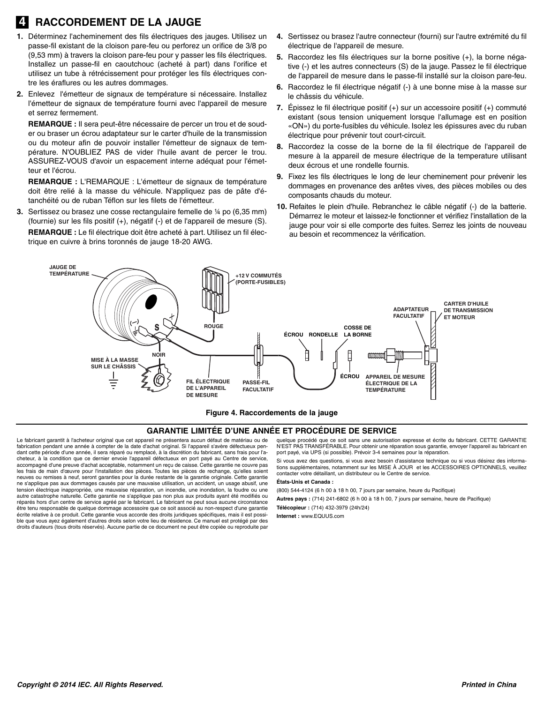## **4 RACCORDEMENT DE LA JAUGE**

- **1.** Déterminez l'acheminement des fils électriques des jauges. Utilisez un passe-fil existant de la cloison pare-feu ou perforez un orifice de 3/8 po (9,53 mm) à travers la cloison pare-feu pour y passer les fils électriques. Installez un passe-fil en caoutchouc (acheté à part) dans l'orifice et utilisez un tube à rétrécissement pour protéger les fils électriques contre les éraflures ou les autres dommages.
- **2.** Enlevez l'émetteur de signaux de température si nécessaire. Installez l'émetteur de signaux de température fourni avec l'appareil de mesure et serrez fermement.

**REMARQUE :** Il sera peut-être nécessaire de percer un trou et de souder ou braser un écrou adaptateur sur le carter d'huile de la transmission ou du moteur afin de pouvoir installer l'émetteur de signaux de température. N'OUBLIEZ PAS de vider l'huile avant de percer le trou. ASSUREZ-VOUS d'avoir un espacement interne adéquat pour l'émetteur et l'écrou.

**REMARQUE :** L'REMARQUE : L'émetteur de signaux de température doit être relié à la masse du véhicule. N'appliquez pas de pâte d'étanchéité ou de ruban Téflon sur les filets de l'émetteur.

**3.** Sertissez ou brasez une cosse rectangulaire femelle de ¼ po (6,35 mm) (fournie) sur les fils positif (+), négatif (-) et de l'appareil de mesure (S). **REMARQUE :** Le fil électrique doit être acheté à part. Utilisez un fil électrique en cuivre à brins toronnés de jauge 18-20 AWG.

- **4.** Sertissez ou brasez l'autre connecteur (fourni) sur l'autre extrémité du fil électrique de l'appareil de mesure.
- **5.** Raccordez les fils électriques sur la borne positive (+), la borne négative (-) et les autres connecteurs (S) de la jauge. Passez le fil électrique de l'appareil de mesure dans le passe-fil installé sur la cloison pare-feu.
- **6.** Raccordez le fil électrique négatif (-) à une bonne mise à la masse sur le châssis du véhicule.
- **7.** Épissez le fil électrique positif (+) sur un accessoire positif (+) commuté existant (sous tension uniquement lorsque l'allumage est en position «ON») du porte-fusibles du véhicule. Isolez les épissures avec du ruban électrique pour prévenir tout court-circuit.
- **8.** Raccordez la cosse de la borne de la fil électrique de l'appareil de mesure à la appareil de mesure électrique de la temperature utilisant deux écrous et une rondelle fournis.
- **9.** Fixez les fils électriques le long de leur cheminement pour prévenir les dommages en provenance des arêtes vives, des pièces mobiles ou des composants chauds du moteur.
- **10.** Refaites le plein d'huile. Rebranchez le câble négatif (-) de la batterie. Démarrez le moteur et laissez-le fonctionner et vérifiez l'installation de la jauge pour voir si elle comporte des fuites. Serrez les joints de nouveau au besoin et recommencez la vérification.



#### **Figure 4. Raccordements de la jauge**

#### **GARANTIE LIMITÉE D'UNE ANNÉE ET PROCÉDURE DE SERVICE**

Le fabricant garantit à l'acheteur original que cet appareil ne présentera aucun défaut de matériau ou de fabrication pendant une année à compter de la date d'achat original. Si l'appareil s'avère défectueux pendant cette période d'une année, il sera réparé ou remplacé, à la discrétion du fabricant, sans frais pour l'acheteur, à la condition que ce dernier envoie l'appareil défectueux en port payé au Centre de accompagné d'une preuve d'achat acceptable, notamment un reçu de caisse. Cette garantie ne couvre pas les frais de main d'œuvre pour l'installation des pièces. Toutes les pièces de rechange, qu'elles soient neuves ou remises à neuf, seront garanties pour la durée restante de la garantie originale. Cette garantie ne s'applique pas aux dommages causés par une mauvaise utilisation, un accident, un usage abusif, une tension électrique inappropriée, une mauvaise réparation, un incendie, une inondation, la foudre ou une autre catastrophe naturelle. Cette garantie ne s'applique pas non plus aux produits ayant été modifiés ou réparés hors d'un centre de service agréé par le fabricant. Le fabricant ne peut sous aucune circonstance être tenu responsable de quelque dommage accessoire que ce soit associé au non-respect d'une garantie écrite relative à ce produit. Cette garantie vous accorde des droits juridiques spécifiques, mais il est possible que vous ayez également d'autres droits selon votre lieu de résidence. Ce manuel est protégé par des droits d'auteurs (tous droits réservés). Aucune partie de ce document ne peut être copiée ou reproduite par

quelque procédé que ce soit sans une autorisation expresse et écrite du fabricant. CETTE GARANTIE N'EST PAS TRANSFÉRABLE. Pour obtenir une réparation sous garantie, envoyer l'appareil au fabricant en port payé, via UPS (si possible). Prévoir 3-4 semaines pour la réparation.

Si vous avez des questions, si vous avez besoin d'assistance technique ou si vous désirez des informations supplémentaires, notamment sur les MISE À JOUR et les ACCESSOIRES OPTIONNELS, veuillez contacter votre détaillant, un distributeur ou le Centre de service.

#### **États-Unis et Canada :**

(800) 544-4124 (6 h 00 à 18 h 00, 7 jours par semaine, heure du Pacifique)

**Autres pays :** (714) 241-6802 (6 h 00 à 18 h 00, 7 jours par semaine, heure de Pacifique)

**Télécopieur :** (714) 432-3979 (24h/24)

**Internet :** www.EQUUS.com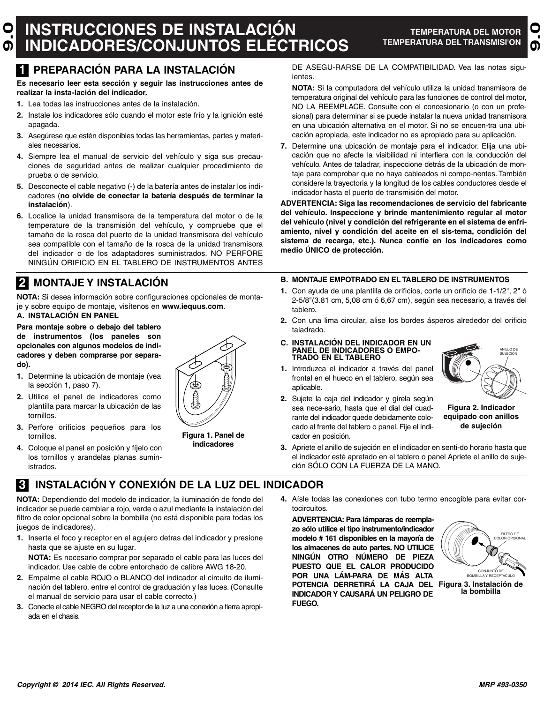## **INSTRUCCIONES DE INSTALACIÓN INDICADORES/CONJUNTOS ELÉCTRICOS 9.0**

**9.0**

**Es necesario leer esta sección y seguir las instrucciones antes de realizar la insta-lación del indicador.**

- **1.** Lea todas las instrucciones antes de la instalación.
- **2.** Instale los indicadores sólo cuando el motor este frío y la ignición esté apagada.
- **3.** Asegúrese que estén disponibles todas las herramientas, partes y materiales necesarios.
- **4.** Siempre lea el manual de servicio del vehículo y siga sus precauciones de seguridad antes de realizar cualquier procedimiento de prueba o de servicio.
- **5.** Desconecte el cable negativo (-) de la batería antes de instalar los indicadores (**no olvide de conectar la batería después de terminar la instalación**).
- **6.** Localice la unidad transmisora de la temperatura del motor o de la temperature de la transmisión del vehículo, y compruebe que el tamaño de la rosca del puerto de la unidad transmisora del vehículo sea compatible con el tamaño de la rosca de la unidad transmisora del indicador o de los adaptadores suministrados. NO PERFORE NINGÚN ORIFICIO EN EL TABLERO DE INSTRUMENTOS ANTES

**NOTA:** Si desea información sobre configuraciones opcionales de montaje y sobre equipo de montaje, visítenos en **www.iequus.com**. **A. INSTALACIÓN EN PANEL**

**Para montaje sobre o debajo del tablero de instrumentos (los paneles son opcionales con algunos modelos de indicadores y deben comprarse por separado).**

- **1.** Determine la ubicación de montaje (vea la sección 1, paso 7).
- **2.** Utilice el panel de indicadores como plantilla para marcar la ubicación de las tornillos.
- **3.** Perfore orificios pequeños para los tornillos.
- **4.** Coloque el panel en posición y fíjelo con los tornillos y arandelas planas suministrados.

# **Figura 1. Panel de**

**indicadores**

**1 PREPARACIÓN PARA LA INSTALACIÓN** DE ASEGU-RARSE DE LA COMPATIBILIDAD. Vea las notas siguientes.

> **NOTA:** Si la computadora del vehículo utiliza la unidad transmisora de temperatura original del vehículo para las funciones de control del motor, NO LA REEMPLACE. Consulte con el concesionario (o con un profesional) para determinar si se puede instalar la nueva unidad transmisora en una ubicación alternativa en el motor. Si no se encuen-tra una ubicación apropiada, este indicador no es apropiado para su aplicación.

**7.** Determine una ubicación de montaje para el indicador. Elija una ubicación que no afecte la visibilidad ni interfiera con la conducción del vehículo. Antes de taladrar, inspeccione detrás de la ubicación de montaje para comprobar que no haya cableados ni compo-nentes. También considere la trayectoria y la longitud de los cables conductores desde el indicador hasta el puerto de transmisión del motor.

**ADVERTENCIA: Siga las recomendaciones de servicio del fabricante del vehículo. Inspeccione y brinde mantenimiento regular al motor del vehículo (nivel y condición del refrigerante en el sistema de enfriamiento, nivel y condición del aceite en el sis-tema, condición del sistema de recarga, etc.). Nunca confíe en los indicadores como medio ÚNICO de protección.**

## **2 MONTAJE Y INSTALACIÓN B. MONTAJE EMPOTRADO EN EL TABLERO DE INSTRUMENTOS**

- **1.** Con ayuda de una plantilla de orificios, corte un orificio de 1-1/2", 2" ó 2-5/8"(3.81 cm, 5,08 cm ó 6,67 cm), según sea necesario, a través del tablero.
- **2.** Con una lima circular, alise los bordes ásperos alrededor del orificio taladrado.

#### **C. INSTALACIÓN DEL INDICADOR EN UN PANEL DE INDICADORES O EMPO-TRADO EN EL TABLERO**

- **1.** Introduzca el indicador a través del panel frontal en el hueco en el tablero, según sea aplicable.
- **2.** Sujete la caja del indicador y gírela según sea nece-sario, hasta que el dial del cuadrante del indicador quede debidamente colocado al frente del tablero o panel. Fije el indicador en posición.
- **3.** Apriete el anillo de sujeción en el indicador en senti-do horario hasta que el indicador esté apretado en el tablero o panel Apriete el anillo de sujeción SÓLO CON LA FUERZA DE LA MANO.

# **3 INSTALACIÓN Y CONEXIÓN DE LA LUZ DEL INDICADOR**

**NOTA:** Dependiendo del modelo de indicador, la iluminación de fondo del indicador se puede cambiar a rojo, verde o azul mediante la instalación del filtro de color opcional sobre la bombilla (no está disponible para todas los juegos de indicadores).

**1.** Inserte el foco y receptor en el agujero detras del indicador y presione hasta que se ajuste en su lugar.

**NOTA:** Es necesario comprar por separado el cable para las luces del indicador. Use cable de cobre entorchado de calibre AWG 18-20.

- **2.** Empalme el cable ROJO o BLANCO del indicador al circuito de iluminación del tablero, entre el control de graduación y las luces. (Consulte el manual de servicio para usar el cable correcto.)
- **3.** Conecte el cable NEGRO del receptor de la luz a una conexión a tierra apropiada en el chasis.

**4.** Aísle todas las conexiones con tubo termo encogible para evitar cortocircuitos.

**ADVERTENCIA: Para lámparas de reemplazo sólo utilice el tipo instrumento/indicador modelo # 161 disponibles en la mayoría de los almacenes de auto partes. NO UTILICE NINGÚN OTRO NÚMERO DE PIEZA PUESTO QUE EL CALOR PRODUCIDO POR UNA LÁM-PARA DE MÁS ALTA POTENCIA DERRETIRÁ LA CAJA DEL Figura 3. Instalación de INDICADOR Y CAUSARÁ UN PELIGRO DE FUEGO.**



BOMBILLA Y RECEPTÁCULO **la bombilla**



**Figura 2. Indicador equipado con anillos de sujeción**